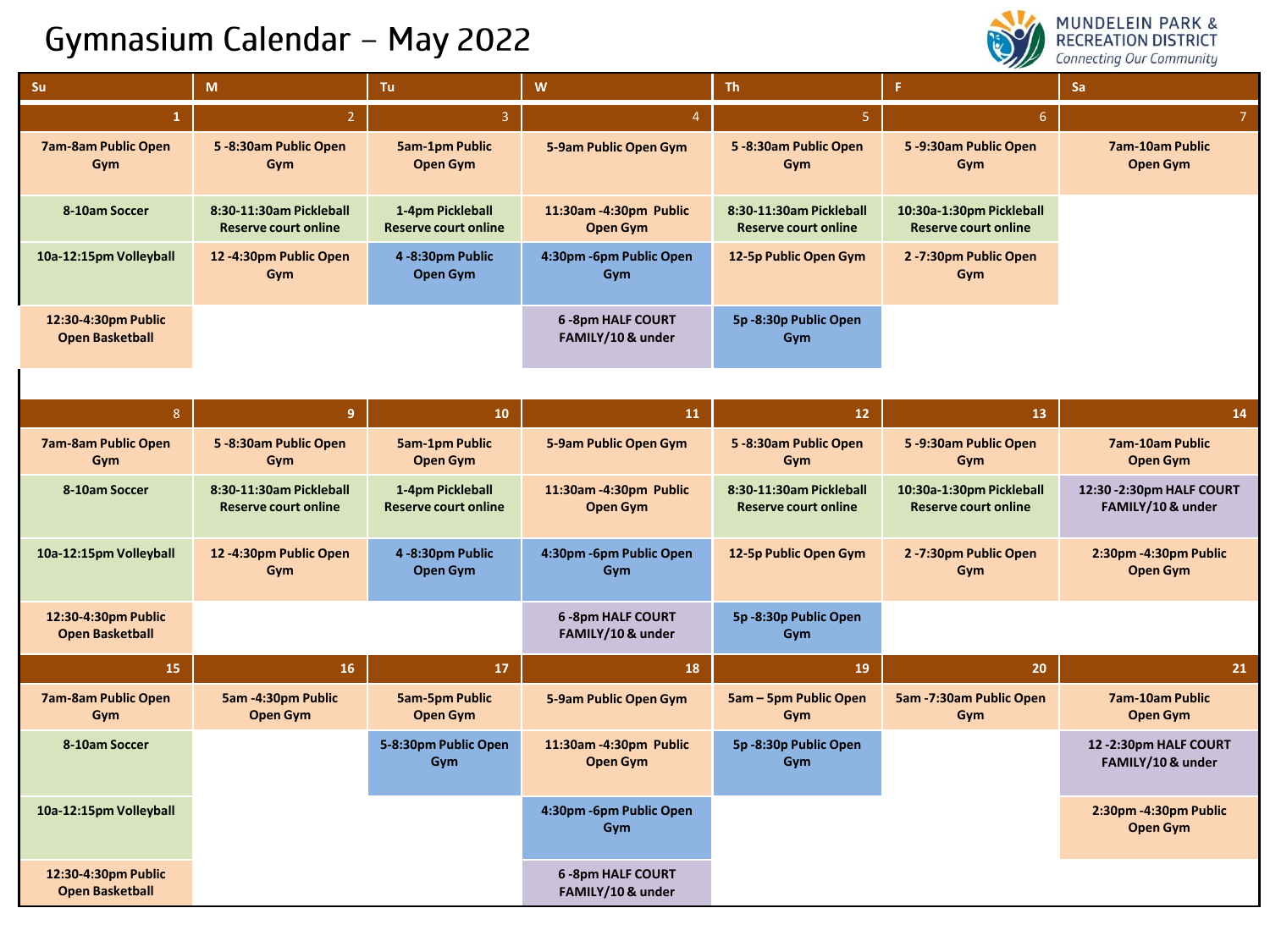## Gymnasium Calendar - May 2022



| Su                                            | M                                                      | Tu                                              | $\mathbf{W}$                                 | Th.                                                    | F.                                                      | Sa                                             |
|-----------------------------------------------|--------------------------------------------------------|-------------------------------------------------|----------------------------------------------|--------------------------------------------------------|---------------------------------------------------------|------------------------------------------------|
| $\mathbf{1}$                                  | 2 <sup>1</sup>                                         | $\overline{3}$                                  | $\overline{4}$                               | 5 <sub>1</sub>                                         | $\sqrt{6}$                                              | $\overline{7}$                                 |
| <b>7am-8am Public Open</b><br>Gym             | 5-8:30am Public Open<br>Gym                            | <b>5am-1pm Public</b><br><b>Open Gym</b>        | 5-9am Public Open Gym                        | 5-8:30am Public Open<br>Gym                            | 5-9:30am Public Open<br>Gym                             | <b>7am-10am Public</b><br><b>Open Gym</b>      |
| 8-10am Soccer                                 | 8:30-11:30am Pickleball<br><b>Reserve court online</b> | 1-4pm Pickleball<br><b>Reserve court online</b> | 11:30am-4:30pm Public<br><b>Open Gym</b>     | 8:30-11:30am Pickleball<br><b>Reserve court online</b> | 10:30a-1:30pm Pickleball<br><b>Reserve court online</b> |                                                |
| 10a-12:15pm Volleyball                        | 12-4:30pm Public Open<br>Gym                           | 4-8:30pm Public<br>Open Gym                     | 4:30pm -6pm Public Open<br>Gym               | 12-5p Public Open Gym                                  | 2-7:30pm Public Open<br>Gym                             |                                                |
| 12:30-4:30pm Public<br><b>Open Basketball</b> |                                                        |                                                 | <b>6-8pm HALF COURT</b><br>FAMILY/10 & under | 5p-8:30p Public Open<br>Gym                            |                                                         |                                                |
| 8                                             | $\overline{9}$                                         | 10                                              | 11                                           | 12                                                     | 13                                                      | 14                                             |
|                                               |                                                        |                                                 |                                              |                                                        |                                                         |                                                |
| <b>7am-8am Public Open</b><br>Gym             | 5-8:30am Public Open<br>Gym                            | <b>5am-1pm Public</b><br><b>Open Gym</b>        | 5-9am Public Open Gym                        | 5-8:30am Public Open<br>Gym                            | 5-9:30am Public Open<br>Gym                             | <b>7am-10am Public</b><br><b>Open Gym</b>      |
| 8-10am Soccer                                 | 8:30-11:30am Pickleball<br><b>Reserve court online</b> | 1-4pm Pickleball<br><b>Reserve court online</b> | 11:30am-4:30pm Public<br><b>Open Gym</b>     | 8:30-11:30am Pickleball<br><b>Reserve court online</b> | 10:30a-1:30pm Pickleball<br><b>Reserve court online</b> | 12:30 - 2:30pm HALF COURT<br>FAMILY/10 & under |
| 10a-12:15pm Volleyball                        | 12-4:30pm Public Open<br>Gym                           | 4-8:30pm Public<br>Open Gym                     | 4:30pm -6pm Public Open<br>Gym               | 12-5p Public Open Gym                                  | 2-7:30pm Public Open<br>Gym                             | 2:30pm -4:30pm Public<br><b>Open Gym</b>       |
| 12:30-4:30pm Public<br><b>Open Basketball</b> |                                                        |                                                 | <b>6-8pm HALF COURT</b><br>FAMILY/10 & under | 5p-8:30p Public Open<br>Gym                            |                                                         |                                                |
| 15                                            | 16                                                     | 17                                              | 18                                           | 19                                                     | 20                                                      | 21                                             |
| <b>7am-8am Public Open</b><br>Gym             | 5am -4:30pm Public<br><b>Open Gym</b>                  | <b>5am-5pm Public</b><br><b>Open Gym</b>        | 5-9am Public Open Gym                        | <b>5am - 5pm Public Open</b><br>Gym                    | 5am -7:30am Public Open<br>Gym                          | 7am-10am Public<br><b>Open Gym</b>             |
| 8-10am Soccer                                 |                                                        | 5-8:30pm Public Open<br>Gym                     | 11:30am-4:30pm Public<br><b>Open Gym</b>     | 5p-8:30p Public Open<br>Gym                            |                                                         | 12 -2:30pm HALF COURT<br>FAMILY/10 & under     |
| 10a-12:15pm Volleyball                        |                                                        |                                                 | 4:30pm -6pm Public Open<br>Gym               |                                                        |                                                         | 2:30pm -4:30pm Public<br><b>Open Gym</b>       |
| 12:30-4:30pm Public<br><b>Open Basketball</b> |                                                        |                                                 | <b>6-8pm HALF COURT</b><br>FAMILY/10 & under |                                                        |                                                         |                                                |